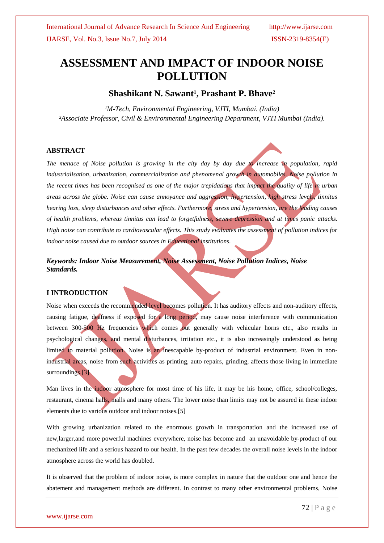# **ASSESSMENT AND IMPACT OF INDOOR NOISE POLLUTION**

## **Shashikant N. Sawant<sup>1</sup>, Prashant P. Bhave<sup>2</sup>**

*¹M-Tech, Environmental Engineering, VJTI, Mumbai. (India) ²Associate Professor, Civil & Environmental Engineering Department, VJTI Mumbai (India).*

#### **ABSTRACT**

*The menace of Noise pollution is growing in the city day by day due to increase in population, rapid industrialisation, urbanization, commercialization and phenomenal growth in automobiles. Noise pollution in the recent times has been recognised as one of the major trepidations that impact the quality of life in urban areas across the globe. Noise can cause annoyance and aggression, hypertension, high stress levels, tinnitus hearing loss, sleep disturbances and other effects. Furthermore, stress and hypertension, are the leading causes of health problems, whereas tinnitus can lead to forgetfulness, severe depression and at times panic attacks. High noise can contribute to cardiovascular effects. This study evaluates the assessment of pollution indices for indoor noise caused due to outdoor sources in Educational institutions.* 

*Keywords: Indoor Noise Measurement, Noise Assessment, Noise Pollution Indices, Noise Standards.*

#### **I INTRODUCTION**

Noise when exceeds the recommended level becomes pollution. It has auditory effects and non-auditory effects, causing fatigue, deafness if exposed for a long period, may cause noise interference with communication between 300-500 Hz frequencies which comes out generally with vehicular horns etc., also results in psychological changes, and mental disturbances, irritation etc., it is also increasingly understood as being limited to material pollution. Noise is an inescapable by-product of industrial environment. Even in nonindustrial areas, noise from such activities as printing, auto repairs, grinding, affects those living in immediate surroundings.<sup>[3]</sup>

Man lives in the indoor atmosphere for most time of his life, it may be his home, office, school/colleges, restaurant, cinema halls, malls and many others. The lower noise than limits may not be assured in these indoor elements due to various outdoor and indoor noises.[5]

With growing urbanization related to the enormous growth in transportation and the increased use of new,larger,and more powerful machines everywhere, noise has become and an unavoidable by-product of our mechanized life and a serious hazard to our health. In the past few decades the overall noise levels in the indoor atmosphere across the world has doubled.

It is observed that the problem of indoor noise, is more complex in nature that the outdoor one and hence the abatement and management methods are different. In contrast to many other environmental problems, Noise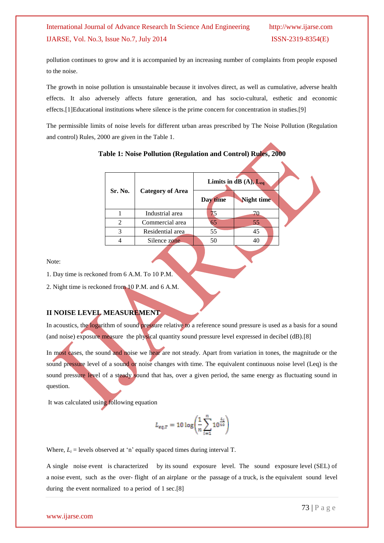pollution continues to grow and it is accompanied by an increasing number of complaints from people exposed to the noise.

The growth in noise pollution is unsustainable because it involves direct, as well as cumulative, adverse health effects. It also adversely affects future generation, and has socio-cultural, esthetic and economic effects.[1]Educational institutions where silence is the prime concern for concentration in studies.[9]

The permissible limits of noise levels for different urban areas prescribed by The Noise Pollution (Regulation and control) Rules, 2000 are given in the Table 1.

|         |                         | Limits in $dB(A), L_{eq}$ |            |  |
|---------|-------------------------|---------------------------|------------|--|
| Sr. No. | <b>Category of Area</b> | Day time                  | Night time |  |
|         | Industrial area         |                           | 70         |  |
|         | Commercial area         | 65                        | 55         |  |
|         | Residential area        | 55                        | 45         |  |
|         | Silence zone            | 50                        | 40         |  |

#### **Table 1: Noise Pollution (Regulation and Control) Rules, 2000**

Note:

1. Day time is reckoned from 6 A.M. To 10 P.M.

2. Night time is reckoned from 10 P.M. and 6 A.M.

#### **II NOISE LEVEL MEASUREMENT**

In acoustics, the logarithm of sound pressure relative to a reference sound pressure is used as a basis for a sound (and noise) exposure measure the physical quantity sound pressure level expressed in decibel (dB).[8]

In most cases, the sound and noise we hear are not steady. Apart from variation in tones, the magnitude or the sound pressure level of a sound or noise changes with time. The equivalent continuous noise level (Leq) is the sound pressure level of a steady sound that has, over a given period, the same energy as fluctuating sound in question.

It was calculated using following equation

$$
L_{eq,T} = 10 \log \left( \frac{1}{n} \sum_{i=1}^{n} 10^{\frac{L_i}{10}} \right)
$$

Where,  $L_i$  = levels observed at 'n' equally spaced times during interval T.

A single noise event is characterized by its sound exposure level. The sound exposure level (SEL) of a noise event, such as the over- flight of an airplane or the passage of a truck, is the equivalent sound level during the event normalized to a period of 1 sec.[8]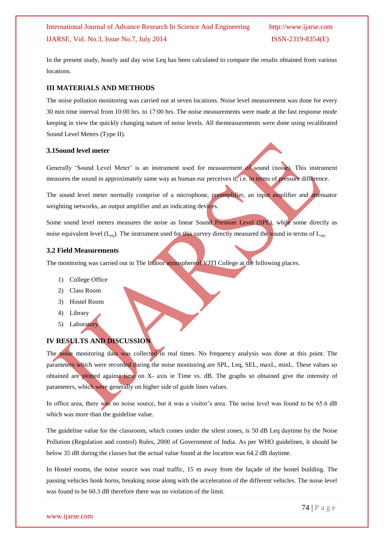In the present study, hourly and day wise Leq has been calculated to compare the results obtained from various locations.

#### **III MATERIALS AND METHODS**

The noise pollution monitoring was carried out at seven locations. Noise level measurement was done for every 30 min time interval from 10:00 hrs. to 17:00 hrs. The noise measurements were made at the fast response mode keeping in view the quickly changing nature of noise levels. All themeasurements were done using recalibrated Sound Level Meters (Type II).

#### **3.1Sound level meter**

Generally 'Sound Level Meter' is an instrument used for measurement of sound (noise). This instrument measures the sound in approximately same way as human ear perceives it, i.e. in terms of pressure difference.

The sound level meter normally comprise of a microphone, preamplifier, an input amplifier and attenuator weighting networks, an output amplifier and an indicating devices.

Some sound level meters measures the noise as linear Sound Pressure Level (SPL), while some directly as noise equivalent level  $(L_{eq})$ . The instrument used for this survey directly measured the sound in terms of  $L_{eq}$ .

#### **3.2 Field Measurements**

The monitoring was carried out in The Indoor atmosphereof VJTI College at the following places.

- 1) College Office
- 2) Class Room
- 3) Hostel Room
- 4) Library
- 5) Laboratory

#### **IV RESULTS AND DISCUSSION**

The noise monitoring data was collected in real times. No frequency analysis was done at this point. The parameters which were recorded during the noise monitoring are SPL, Leq, SEL, maxL, minL. These values so obtained are plotted against time on X- axis ie Time vs. dB. The graphs so obtained give the intensity of parameters, which were generally on higher side of guide lines values.

In office area, there was no noise source, but it was a visitor's area. The noise level was found to be 65.6 dB which was more than the guideline value.

The guideline value for the classroom, which comes under the silent zones, is 50 dB Leq daytime by the Noise Pollution (Regulation and control) Rules, 2000 of Government of India. As per WHO guidelines, it should be below 35 dB during the classes but the actual value found at the location was 64.2 dB daytime.

In Hostel rooms, the noise source was road traffic, 15 m away from the façade of the hostel building. The passing vehicles honk horns, breaking noise along with the acceleration of the different vehicles. The noise level was found to be 60.3 dB therefore there was no violation of the limit.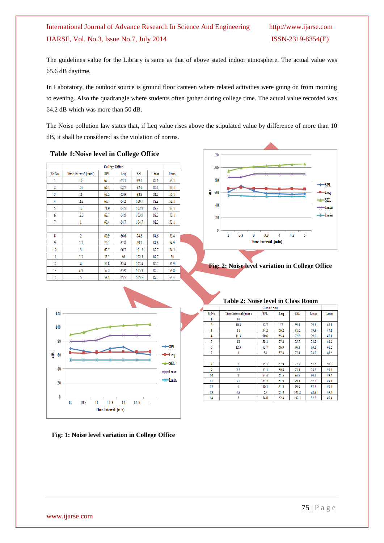The guidelines value for the Library is same as that of above stated indoor atmosphere. The actual value was 65.6 dB daytime.

In Laboratory, the outdoor source is ground floor canteen where related activities were going on from morning to evening. Also the quadrangle where students often gather during college time. The actual value recorded was 64.2 dB which was more than 50 dB.

The Noise pollution law states that, if Leq value rises above the stipulated value by difference of more than 10 dB, it shall be considered as the violation of norms.

#### **Table 1:Noise level in College Office**

|                | <b>College Office</b> |            |      |       |      |      |
|----------------|-----------------------|------------|------|-------|------|------|
| Sr.No          | Time Interval (min)   | <b>SPL</b> | Leq  | SEL.  | Lmax | Lmin |
| 1              | 10                    | 69.7       | 63.1 | 89.5  | 80.1 | 53.1 |
| $\overline{2}$ | 10.3                  | 66.1       | 62.5 | 92.6  | 80.1 | 53.1 |
| 3              | 11                    | 62.5       | 63.9 | 98.3  | 81.3 | 53.1 |
| 4              | 11.3                  | 69.7       | 64.2 | 100.7 | 88.3 | 53.1 |
| 5              | 12                    | 71.9       | 64.5 | 102.5 | 88.3 | 53.1 |
| 6              | 12.3                  | 62.7       | 64.5 | 103.5 | 88.3 | 53.1 |
| 7              | 1                     | 60.4       | 64.7 | 104.7 | 88.3 | 53.1 |
|                |                       |            |      |       |      |      |
| 8              | $\overline{2}$        | 60.9       | 66.6 | 94.6  | 84.6 | 55.4 |
| 9              | 2.3                   | 70.5       | 67.8 | 99.2  | 84.6 | 54.9 |
| 10             | 3                     | 62.5       | 66.7 | 101.5 | 89.7 | 54.3 |
| 11             | 3.3                   | 58.3       | 66   | 102.5 | 89.7 | 54   |
| 12             | 4                     | 57.8       | 65.4 | 103.4 | 89.7 | 53.9 |
| 13             | 4.3                   | 57.2       | 65.9 | 105.3 | 89.7 | 53.8 |
| 14             | 5                     | 58.1       | 65.5 | 105.5 | 89.7 | 53.7 |



#### **Fig: 2: Noise level variation in College Office**



**Fig: 1: Noise level variation in College Office**

|                | <b>Class Room</b>   |            |      |            |      |      |
|----------------|---------------------|------------|------|------------|------|------|
| Sr.No          | Time Interval (min) | <b>SPL</b> | Leq  | <b>SEL</b> | Lmax | Lmin |
| 1              | 10                  |            |      |            |      |      |
| $\overline{2}$ | 10.3                | 52.7       | 57   | 89.4       | 79.3 | 48.1 |
| 3              | 11                  | 54.2       | 56.2 | 91.6       | 79.3 | 47.1 |
| 4              | 11.3                | 50.6       | 55.4 | 92.6       | 79.3 | 47.1 |
| 5              | 12                  | 53.1       | 57.2 | 95.7       | 94.2 | 46.6 |
| 6              | 12.3                | 63.7       | 56.9 | 96.3       | 94.2 | 46.6 |
| 7              | 1                   | 58         | 57.4 | 97.4       | 94.2 | 46.6 |
|                |                     |            |      |            |      |      |
| $\bf{g}$       | $\overline{2}$      | 55.7       | 57.9 | 72.2       | 67.6 | 50.3 |
| 9              | 2.3                 | 53.1       | 60.8 | 93.1       | 78.3 | 49.4 |
| 10             | 3                   | 54.6       | 61.5 | 96.8       | 80.3 | 49.4 |
| 11             | 3.3                 | 61.5       | 61.9 | 99.1       | 82.8 | 49.4 |
| 12             | 4                   | 60.1       | 61.5 | 99.9       | 82.8 | 49.4 |
| 13             | 4.3                 | 63         | 61.8 | 101.2      | 82.8 | 49.4 |
| 14             | 5                   | 54.8       | 62.4 | 102.1      | 82.8 | 49.4 |

#### **Table 2: Noise level in Class Room**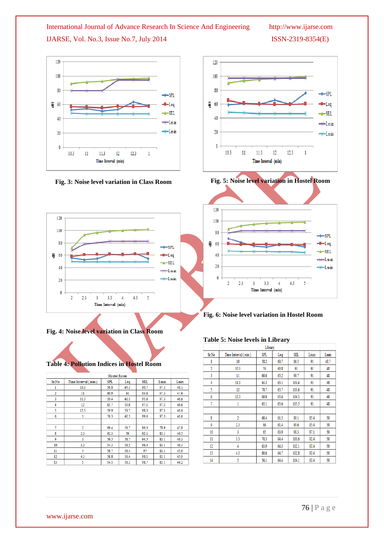

**Fig. 3: Noise level variation in Class Room**



**Fig. 4: Noise level variation in Class Room**

## **Table 4: Pollution Indices in Hostel Room**

| <b>Hostel Room</b> |                     |            |      |      |      |      |
|--------------------|---------------------|------------|------|------|------|------|
| Sr.No              | Time Interval (min) | <b>SPL</b> | Leq  | SEL  | Lmax | Lmin |
| 1                  | 10.3                | 58.8       | 65.1 | 90.7 | 97.3 | 48.1 |
| $\overline{2}$     | 11                  | 60.9       | 61   | 93.6 | 97.3 | 47.6 |
| 3                  | 11.3                | 59.4       | 60.1 | 95.6 | 97.3 | 46.6 |
| 4                  | 12                  | 65.7       | 59.8 | 97.1 | 97.3 | 46.6 |
| 5                  | 12.3                | 59.9       | 59.7 | 98.3 | 97.3 | 46.6 |
| 6                  | 1                   | 76.3       | 60.3 | 99.6 | 97.3 | 46.6 |
|                    |                     |            |      |      |      |      |
| 7                  | $\overline{2}$      | 69.4       | 59.7 | 86.3 | 78.9 | 47.8 |
| 8                  | 2.3                 | 62.3       | 59   | 92.1 | 83.1 | 46.5 |
| 9                  | 3                   | 56.5       | 58.7 | 94.5 | 83.1 | 46.3 |
| 10                 | 3.3                 | 54.3       | 58.5 | 96.4 | 83.1 | 46.3 |
| 11                 | 4                   | 58.7       | 58.4 | 97   | 83.1 | 45.9 |
| 12                 | 4.3                 | 58.8       | 58.4 | 98.1 | 83.1 | 45.9 |
| 13                 | 5                   | 54.5       | 58.3 | 98.7 | 83.1 | 44.2 |







**Fig. 6: Noise level variation in Hostel Room**

#### **Table 5: Noise levels in Library**

|                |                     | Library | − J  |       |      |      |
|----------------|---------------------|---------|------|-------|------|------|
| Sr.No          | Time Interval (min) | SPL     | Leq  | SEL.  | Lmax | Lmin |
| 1              | 10                  | 58.2    | 60.7 | 86.5  | 91   | 48.7 |
| $\overline{2}$ | 10.3                | 59      | 60.8 | 91    | 91   | 48   |
| 3              | 11                  | 60.6    | 65.2 | 99.7  | 91   | 48   |
| 4              | 11.3                | 64.3    | 65.1 | 101.6 | 91   | 48   |
| 5              | 12                  | 70.7    | 65.7 | 103.6 | 91   | 48   |
| 6              | 12.3                | 60.8    | 65.6 | 104.5 | 91   | 48   |
| 7              | 1                   | 65.1    | 65.6 | 105.5 | 91   | 48   |
|                |                     |         |      |       |      |      |
| 8              | $\overline{2}$      | 60.4    | 61.5 | 89.1  | 85.4 | 50   |
| 9              | 2.3                 | 66      | 61.4 | 90.6  | 85.4 | 50   |
| 10             | 3                   | 65      | 63.9 | 98.3  | 87.1 | 50   |
| 11             | 3.3                 | 70.3    | 64.4 | 100.6 | 92.4 | 50   |
| 12             | 4                   | 63.9    | 64.3 | 102.1 | 92.4 | 50   |
| 13             | 4.3                 | 60.6    | 64.7 | 102.8 | 92.4 | 50   |
| 14             | 5                   | 56.1    | 64.4 | 104.1 | 92.4 | 50   |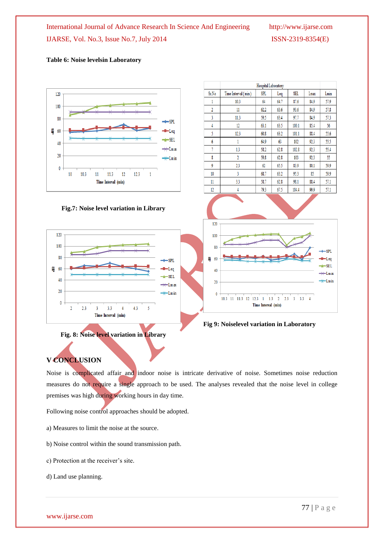#### **Table 6: Noise levelsin Laboratory**



**Fig 9: Noiselevel variation in Laboratory**

### **V CONCLUSION**

Noise is complicated affair and indoor noise is intricate derivative of noise. Sometimes noise reduction measures do not require a single approach to be used. The analyses revealed that the noise level in college premises was high during working hours in day time.

Following noise control approaches should be adopted.

**Fig. 8: Noise level variation in Library**

- a) Measures to limit the noise at the source.
- b) Noise control within the sound transmission path.
- c) Protection at the receiver's site.
- d) Land use planning.